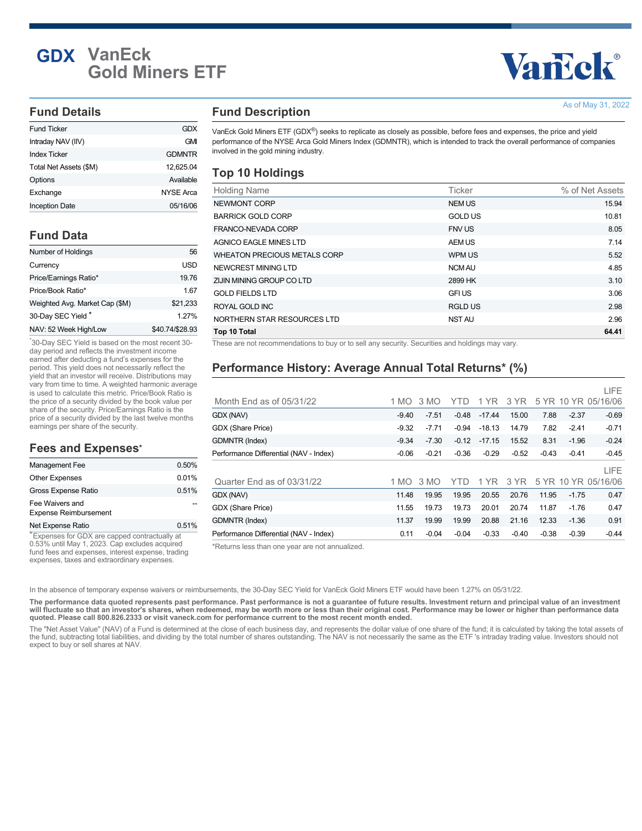# **GDX VanEck Gold Miners ETF**

# Vancok®

As of May 31, 2022

#### **Fund Details**

| Fund Ticker            | GDX              |
|------------------------|------------------|
| Intraday NAV (IIV)     | <b>GMI</b>       |
| <b>Index Ticker</b>    | <b>GDMNTR</b>    |
| Total Net Assets (\$M) | 12,625.04        |
| Options                | Available        |
| Exchange               | <b>NYSE Arca</b> |
| <b>Inception Date</b>  | 05/16/06         |

# **Fund Data**

| Number of Holdings             | 56              |
|--------------------------------|-----------------|
| Currency                       | USD             |
| Price/Earnings Ratio*          | 19.76           |
| Price/Book Ratio*              | 1.67            |
| Weighted Avg. Market Cap (\$M) | \$21,233        |
| 30-Day SEC Yield*              | 1 27%           |
| NAV: 52 Week High/Low          | \$40.74/\$28.93 |

30-Day SEC Yield is based on the most recent 30- \* day period and reflects the investment income earned after deducting a fund's expenses for the period. This yield does not necessarily reflect the yield that an investor will receive. Distributions may vary from time to time. A weighted harmonic average is used to calculate this metric. Price/Book Ratio is the price of a security divided by the book value per share of the security. Price/Earnings Ratio is the price of a security divided by the last twelve months earnings per share of the security.

#### **Fees and Expenses \***

| 0.50% |
|-------|
| 0.01% |
| 0.51% |
|       |
| 0.51% |
|       |

Expenses for GDX are capped contractually at \* 0.53% until May 1, 2023. Cap excludes acquired fund fees and expenses, interest expense, trading expenses, taxes and extraordinary expenses.

## **Fund Description**

VanEck Gold Miners ETF (GDX®) seeks to replicate as closely as possible, before fees and expenses, the price and yield performance of the NYSE Arca Gold Miners Index (GDMNTR), which is intended to track the overall performance of companies involved in the gold mining industry.

#### **Top 10 Holdings**

| <b>Holding Name</b>                 | <b>Ticker</b>  | % of Net Assets |
|-------------------------------------|----------------|-----------------|
| NEWMONT CORP                        | <b>NEM US</b>  | 15.94           |
| <b>BARRICK GOLD CORP</b>            | <b>GOLD US</b> | 10.81           |
| FRANCO-NEVADA CORP                  | <b>FNV US</b>  | 8.05            |
| <b>AGNICO EAGLE MINES LTD</b>       | AEM US         | 7.14            |
| <b>WHEATON PRECIOUS METALS CORP</b> | WPM US         | 5.52            |
| NEWCREST MINING LTD                 | <b>NCM AU</b>  | 4.85            |
| ZIJIN MINING GROUP CO LTD           | 2899 HK        | 3.10            |
| <b>GOLD FIELDS LTD</b>              | <b>GFI US</b>  | 3.06            |
| ROYAL GOLD INC                      | RGLD US        | 2.98            |
| NORTHERN STAR RESOURCES LTD         | NST AU         | 2.96            |
| Top 10 Total                        |                | 64.41           |

These are not recommendations to buy or to sell any security. Securities and holdings may vary.

# **Performance History: Average Annual Total Returns\* (%)**

|                                        |         |         |         |          |         |         |         | LIFE                |
|----------------------------------------|---------|---------|---------|----------|---------|---------|---------|---------------------|
| Month End as of $05/31/22$             | 1 MO    | 3 MO    | YTD     | 1 YR     | 3 YR    |         |         | 5 YR 10 YR 05/16/06 |
| GDX (NAV)                              | $-9.40$ | $-7.51$ | $-0.48$ | $-17.44$ | 15.00   | 7.88    | $-2.37$ | $-0.69$             |
| GDX (Share Price)                      | $-9.32$ | $-7.71$ | $-0.94$ | $-18.13$ | 14.79   | 7.82    | $-2.41$ | $-0.71$             |
| <b>GDMNTR (Index)</b>                  | $-9.34$ | $-7.30$ | $-0.12$ | $-17.15$ | 15.52   | 8.31    | $-1.96$ | $-0.24$             |
| Performance Differential (NAV - Index) | $-0.06$ | $-0.21$ | $-0.36$ | $-0.29$  | $-0.52$ | $-0.43$ | $-0.41$ | $-0.45$             |
|                                        |         |         |         |          |         |         |         | LIFE                |
| Quarter End as of 03/31/22             | 1 MO    | 3 MO    | YTD     | 1 YR     | 3 YR    |         |         | 5 YR 10 YR 05/16/06 |
| GDX (NAV)                              | 11.48   | 19.95   | 19.95   | 20.55    | 20.76   | 11.95   | $-1.75$ | 0.47                |
| GDX (Share Price)                      | 11.55   | 19.73   | 19.73   | 20.01    | 20.74   | 11.87   | $-1.76$ | 0.47                |
| <b>GDMNTR (Index)</b>                  | 11.37   | 19.99   | 19.99   | 20.88    | 21.16   | 12.33   | $-1.36$ | 0.91                |
| Performance Differential (NAV - Index) | 0.11    | $-0.04$ | $-0.04$ | $-0.33$  | $-0.40$ | $-0.38$ | $-0.39$ | $-0.44$             |

\*Returns less than one year are not annualized.

In the absence of temporary expense waivers or reimbursements, the 30-Day SEC Yield for VanEck Gold Miners ETF would have been 1.27% on 05/31/22.

**The performance data quoted represents past performance. Past performance is not a guarantee of future results. Investment return and principal value of an investment will fluctuate so that an investor's shares, when redeemed, may be worth more or less than their original cost. Performance may be lower or higher than performance data quoted. Please call 800.826.2333 or visit vaneck.com for performance current to the most recent month ended.**

The "Net Asset Value" (NAV) of a Fund is determined at the close of each business day, and represents the dollar value of one share of the fund; it is calculated by taking the total assets of the fund, subtracting total liabilities, and dividing by the total number of shares outstanding. The NAV is not necessarily the same as the ETF 's intraday trading value. Investors should not expect to buy or sell shares at NAV.